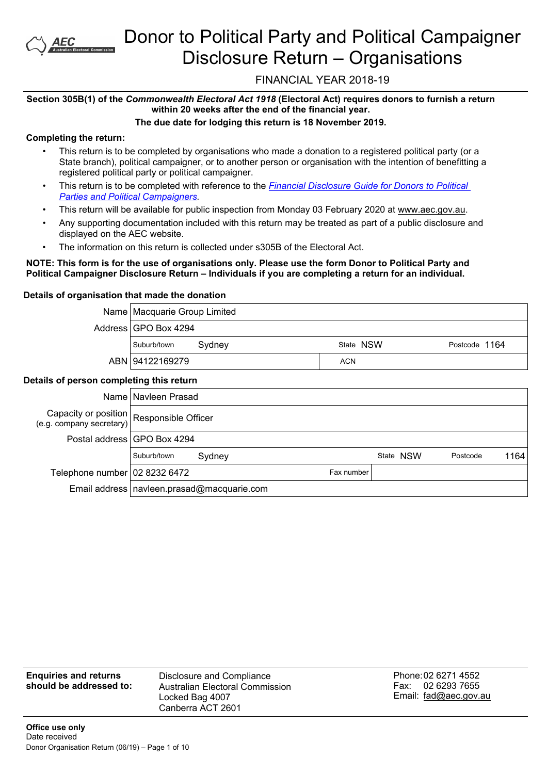

# Donor to Political Party and Political Campaigner Disclosure Return – Organisations

# FINANCIAL YEAR 2018-19

# **Section 305B(1) of the** *Commonwealth Electoral Act 1918* **(Electoral Act) requires donors to furnish a return within 20 weeks after the end of the financial year.**

# **The due date for lodging this return is 18 November 2019.**

# **Completing the return:**

- This return is to be completed by organisations who made a donation to a registered political party (or a State branch), political campaigner, or to another person or organisation with the intention of benefitting a registered political party or political campaigner.
- This return is to be completed with reference to the *[Financial](https://www.aec.gov.au/Parties_and_Representatives/financial_disclosure/guides/donors/index.htm) [Disclosure](https://www.aec.gov.au/Parties_and_Representatives/financial_disclosure/guides/donors/index.htm) [Guide](https://www.aec.gov.au/Parties_and_Representatives/financial_disclosure/guides/donors/index.htm) [for](https://www.aec.gov.au/Parties_and_Representatives/financial_disclosure/guides/donors/index.htm) [Donors](https://www.aec.gov.au/Parties_and_Representatives/financial_disclosure/guides/donors/index.htm) [to](https://www.aec.gov.au/Parties_and_Representatives/financial_disclosure/guides/donors/index.htm) [Political](https://www.aec.gov.au/Parties_and_Representatives/financial_disclosure/guides/donors/index.htm) [Parties](https://www.aec.gov.au/Parties_and_Representatives/financial_disclosure/guides/donors/index.htm) [and](https://www.aec.gov.au/Parties_and_Representatives/financial_disclosure/guides/donors/index.htm) [Political](https://www.aec.gov.au/Parties_and_Representatives/financial_disclosure/guides/donors/index.htm) [Campaigners](https://www.aec.gov.au/Parties_and_Representatives/financial_disclosure/guides/donors/index.htm).*
- This return will be available for public inspection from Monday 03 February 2020 at www.aec.gov.au.
- Any supporting documentation included with this return may be treated as part of a public disclosure and displayed on the AEC website.
- The information on this return is collected under s305B of the Electoral Act.

#### NOTE: This form is for the use of organisations only. Please use the form Donor to Political Party and **Political Campaigner Disclosure Return – Individuals if you are completing a return for an individual.**

## **Details of organisation that made the donation**

| Name   Macquarie Group Limited |            |               |
|--------------------------------|------------|---------------|
| Address GPO Box 4294           |            |               |
| Sydney<br>Suburb/town          | State NSW  | Postcode 1164 |
| ABN 94122169279                | <b>ACN</b> |               |

## **Details of person completing this return**

|                                                                                          | Name   Navleen Prasad                        |            |           |          |      |
|------------------------------------------------------------------------------------------|----------------------------------------------|------------|-----------|----------|------|
| Capacity or position Responsible Officer<br>(e.g. company secretary) Responsible Officer |                                              |            |           |          |      |
|                                                                                          | Postal address GPO Box 4294                  |            |           |          |      |
|                                                                                          | Sydney<br>Suburb/town                        |            | State NSW | Postcode | 1164 |
| Telephone number   02 8232 6472                                                          |                                              | Fax number |           |          |      |
|                                                                                          | Email address   navleen.prasad@macquarie.com |            |           |          |      |

| <b>Enquiries and returns</b><br>should be addressed to: | Disclosure and Compliance<br>Australian Electoral Commission |  |
|---------------------------------------------------------|--------------------------------------------------------------|--|
|                                                         | Locked Bag 4007                                              |  |
|                                                         | Canberra ACT 2601                                            |  |

**Certification**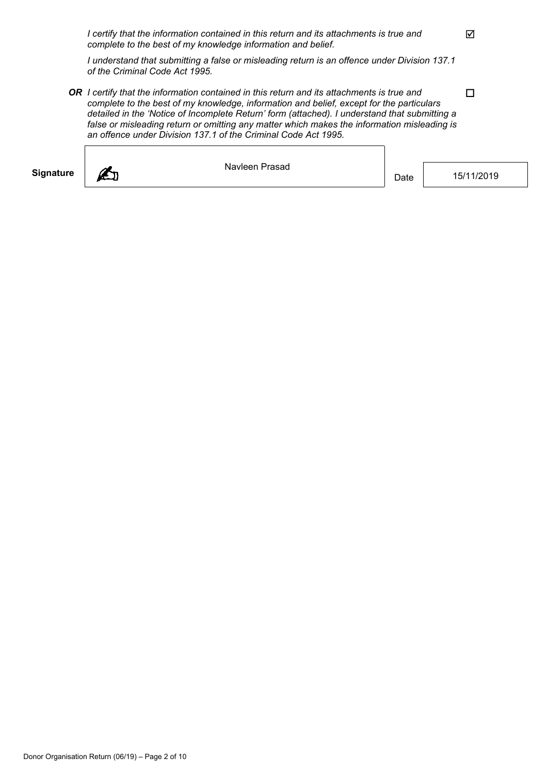*I certify that the information contained in this return and its attachments is true and complete to the best of my knowledge information and belief.*

*I understand that submitting a false or misleading return is an offence under Division 137.1 of the Criminal Code Act 1995.*

*OR I certify that the information contained in this return and its attachments is true and complete to the best of my knowledge, information and belief, except for the particulars detailed in the 'Notice of Incomplete Return' form (attached). I understand that submitting a false or misleading return or omitting any matter which makes the information misleading is an offence under Division 137.1 of the Criminal Code Act 1995.*

| Signature | Navleen Prasad | Date | 15/1 |
|-----------|----------------|------|------|
|           |                |      |      |

 $\Delta$ 

 $\Box$ 

٦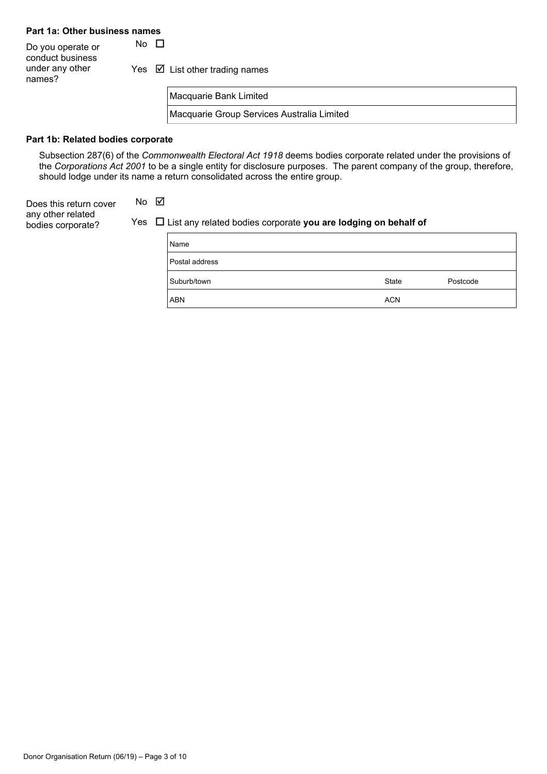#### **Part 1a: Other business names**

Do you operate or  $\Box$ conduct business under any other names?

Yes  $\boxtimes$  List other trading names

Macquarie Bank Limited

Macquarie Group Services Australia Limited

#### **Part 1b: Related bodies corporate**

Subsection 287(6) of the *Commonwealth Electoral Act 1918* deems bodies corporate related under the provisions of the *Corporations Act 2001* to be a single entity for disclosure purposes. The parent company of the group, therefore, should lodge under its name a return consolidated across the entire group.

| Does this return cover                 | No 1⊽1 |                                                                           |
|----------------------------------------|--------|---------------------------------------------------------------------------|
| any other related<br>bodies corporate? |        | $Yes \Box$ List any related bodies corporate you are lodging on behalf of |
|                                        |        |                                                                           |

| Name           |            |          |
|----------------|------------|----------|
| Postal address |            |          |
| Suburb/town    | State      | Postcode |
| <b>ABN</b>     | <b>ACN</b> |          |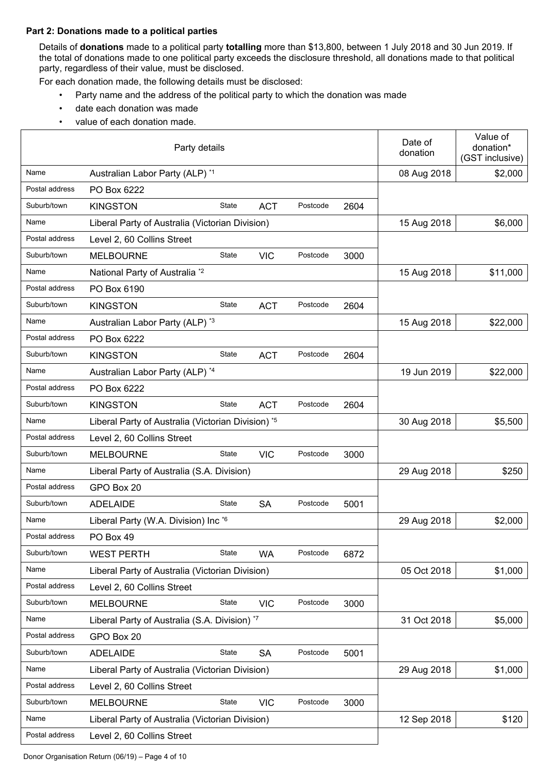#### **Part 2: Donations made to a political parties**

Details of **donations** made to a political party **totalling** more than \$13,800, between 1 July 2018 and 30 Jun 2019. If the total of donations made to one political party exceeds the disclosure threshold, all donations made to that political party, regardless of their value, must be disclosed.

For each donation made, the following details must be disclosed:

- Party name and the address of the political party to which the donation was made
- date each donation was made
- value of each donation made.

|                | Party details                                      |       |            |          |      | Date of<br>donation | Value of<br>donation*<br>(GST inclusive) |
|----------------|----------------------------------------------------|-------|------------|----------|------|---------------------|------------------------------------------|
| Name           | Australian Labor Party (ALP) *1                    |       |            |          |      | 08 Aug 2018         | \$2,000                                  |
| Postal address | PO Box 6222                                        |       |            |          |      |                     |                                          |
| Suburb/town    | <b>KINGSTON</b>                                    | State | <b>ACT</b> | Postcode | 2604 |                     |                                          |
| Name           | Liberal Party of Australia (Victorian Division)    |       |            |          |      | 15 Aug 2018         | \$6,000                                  |
| Postal address | Level 2, 60 Collins Street                         |       |            |          |      |                     |                                          |
| Suburb/town    | <b>MELBOURNE</b>                                   | State | <b>VIC</b> | Postcode | 3000 |                     |                                          |
| Name           | National Party of Australia *2                     |       |            |          |      | 15 Aug 2018         | \$11,000                                 |
| Postal address | PO Box 6190                                        |       |            |          |      |                     |                                          |
| Suburb/town    | <b>KINGSTON</b>                                    | State | <b>ACT</b> | Postcode | 2604 |                     |                                          |
| Name           | Australian Labor Party (ALP) *3                    |       |            |          |      | 15 Aug 2018         | \$22,000                                 |
| Postal address | PO Box 6222                                        |       |            |          |      |                     |                                          |
| Suburb/town    | <b>KINGSTON</b>                                    | State | <b>ACT</b> | Postcode | 2604 |                     |                                          |
| Name           | Australian Labor Party (ALP) *4                    |       |            |          |      | 19 Jun 2019         | \$22,000                                 |
| Postal address | PO Box 6222                                        |       |            |          |      |                     |                                          |
| Suburb/town    | <b>KINGSTON</b>                                    | State | <b>ACT</b> | Postcode | 2604 |                     |                                          |
| Name           | Liberal Party of Australia (Victorian Division) *5 |       |            |          |      | 30 Aug 2018         | \$5,500                                  |
| Postal address | Level 2, 60 Collins Street                         |       |            |          |      |                     |                                          |
| Suburb/town    | <b>MELBOURNE</b>                                   | State | <b>VIC</b> | Postcode | 3000 |                     |                                          |
| Name           | Liberal Party of Australia (S.A. Division)         |       |            |          |      | 29 Aug 2018         | \$250                                    |
| Postal address | GPO Box 20                                         |       |            |          |      |                     |                                          |
| Suburb/town    | <b>ADELAIDE</b>                                    | State | <b>SA</b>  | Postcode | 5001 |                     |                                          |
| Name           | Liberal Party (W.A. Division) Inc *6               |       |            |          |      | 29 Aug 2018         | \$2,000                                  |
| Postal address | PO Box 49                                          |       |            |          |      |                     |                                          |
| Suburb/town    | <b>WEST PERTH</b>                                  | State | <b>WA</b>  | Postcode | 6872 |                     |                                          |
| Name           | Liberal Party of Australia (Victorian Division)    |       |            |          |      | 05 Oct 2018         | \$1,000                                  |
| Postal address | Level 2, 60 Collins Street                         |       |            |          |      |                     |                                          |
| Suburb/town    | <b>MELBOURNE</b>                                   | State | <b>VIC</b> | Postcode | 3000 |                     |                                          |
| Name           | Liberal Party of Australia (S.A. Division) *7      |       |            |          |      | 31 Oct 2018         | \$5,000                                  |
| Postal address | GPO Box 20                                         |       |            |          |      |                     |                                          |
| Suburb/town    | <b>ADELAIDE</b>                                    | State | <b>SA</b>  | Postcode | 5001 |                     |                                          |
| Name           | Liberal Party of Australia (Victorian Division)    |       |            |          |      | 29 Aug 2018         | \$1,000                                  |
| Postal address | Level 2, 60 Collins Street                         |       |            |          |      |                     |                                          |
| Suburb/town    | <b>MELBOURNE</b>                                   | State | <b>VIC</b> | Postcode | 3000 |                     |                                          |
| Name           | Liberal Party of Australia (Victorian Division)    |       |            |          |      | 12 Sep 2018         | \$120                                    |
| Postal address | Level 2, 60 Collins Street                         |       |            |          |      |                     |                                          |

Donor Organisation Return (06/19) – Page 4 of 10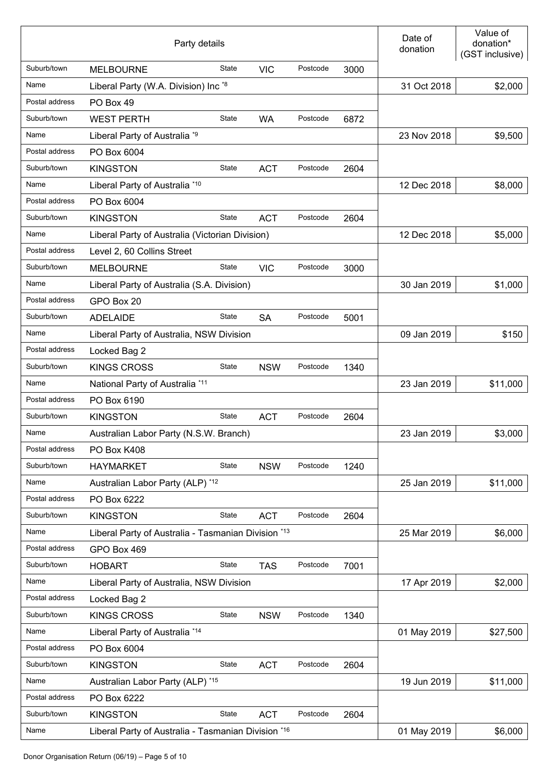|                | Party details                                       |       |            |          |      | Date of<br>donation | Value of<br>donation*<br>(GST inclusive) |
|----------------|-----------------------------------------------------|-------|------------|----------|------|---------------------|------------------------------------------|
| Suburb/town    | <b>MELBOURNE</b>                                    | State | <b>VIC</b> | Postcode | 3000 |                     |                                          |
| Name           | Liberal Party (W.A. Division) Inc <sup>*8</sup>     |       |            |          |      | 31 Oct 2018         | \$2,000                                  |
| Postal address | PO Box 49                                           |       |            |          |      |                     |                                          |
| Suburb/town    | <b>WEST PERTH</b>                                   | State | <b>WA</b>  | Postcode | 6872 |                     |                                          |
| Name           | Liberal Party of Australia <sup>*9</sup>            |       |            |          |      | 23 Nov 2018         | \$9,500                                  |
| Postal address | PO Box 6004                                         |       |            |          |      |                     |                                          |
| Suburb/town    | <b>KINGSTON</b>                                     | State | <b>ACT</b> | Postcode | 2604 |                     |                                          |
| Name           | Liberal Party of Australia *10                      |       |            |          |      | 12 Dec 2018         | \$8,000                                  |
| Postal address | PO Box 6004                                         |       |            |          |      |                     |                                          |
| Suburb/town    | <b>KINGSTON</b>                                     | State | <b>ACT</b> | Postcode | 2604 |                     |                                          |
| Name           | Liberal Party of Australia (Victorian Division)     |       |            |          |      | 12 Dec 2018         | \$5,000                                  |
| Postal address | Level 2, 60 Collins Street                          |       |            |          |      |                     |                                          |
| Suburb/town    | <b>MELBOURNE</b>                                    | State | <b>VIC</b> | Postcode | 3000 |                     |                                          |
| Name           | Liberal Party of Australia (S.A. Division)          |       |            |          |      | 30 Jan 2019         | \$1,000                                  |
| Postal address | GPO Box 20                                          |       |            |          |      |                     |                                          |
| Suburb/town    | <b>ADELAIDE</b>                                     | State | <b>SA</b>  | Postcode | 5001 |                     |                                          |
| Name           | Liberal Party of Australia, NSW Division            |       |            |          |      | 09 Jan 2019         | \$150                                    |
| Postal address | Locked Bag 2                                        |       |            |          |      |                     |                                          |
| Suburb/town    | <b>KINGS CROSS</b>                                  | State | <b>NSW</b> | Postcode | 1340 |                     |                                          |
| Name           | National Party of Australia *11                     |       |            |          |      | 23 Jan 2019         | \$11,000                                 |
| Postal address | PO Box 6190                                         |       |            |          |      |                     |                                          |
| Suburb/town    | <b>KINGSTON</b>                                     | State | <b>ACT</b> | Postcode | 2604 |                     |                                          |
| Name           | Australian Labor Party (N.S.W. Branch)              |       |            |          |      | 23 Jan 2019         | \$3,000                                  |
| Postal address | PO Box K408                                         |       |            |          |      |                     |                                          |
| Suburb/town    | <b>HAYMARKET</b>                                    | State | <b>NSW</b> | Postcode | 1240 |                     |                                          |
| Name           | Australian Labor Party (ALP) *12                    |       |            |          |      | 25 Jan 2019         | \$11,000                                 |
| Postal address | PO Box 6222                                         |       |            |          |      |                     |                                          |
| Suburb/town    | <b>KINGSTON</b>                                     | State | <b>ACT</b> | Postcode | 2604 |                     |                                          |
| Name           | Liberal Party of Australia - Tasmanian Division *13 |       |            |          |      | 25 Mar 2019         | \$6,000                                  |
| Postal address | GPO Box 469                                         |       |            |          |      |                     |                                          |
| Suburb/town    | <b>HOBART</b>                                       | State | <b>TAS</b> | Postcode | 7001 |                     |                                          |
| Name           | Liberal Party of Australia, NSW Division            |       |            |          |      | 17 Apr 2019         | \$2,000                                  |
| Postal address | Locked Bag 2                                        |       |            |          |      |                     |                                          |
| Suburb/town    | <b>KINGS CROSS</b>                                  | State | <b>NSW</b> | Postcode | 1340 |                     |                                          |
| Name           | Liberal Party of Australia *14                      |       |            |          |      | 01 May 2019         | \$27,500                                 |
| Postal address | PO Box 6004                                         |       |            |          |      |                     |                                          |
| Suburb/town    | <b>KINGSTON</b>                                     | State | <b>ACT</b> | Postcode | 2604 |                     |                                          |
| Name           | Australian Labor Party (ALP) *15                    |       |            |          |      | 19 Jun 2019         | \$11,000                                 |
| Postal address | PO Box 6222                                         |       |            |          |      |                     |                                          |
| Suburb/town    | <b>KINGSTON</b>                                     | State | <b>ACT</b> | Postcode | 2604 |                     |                                          |
| Name           | Liberal Party of Australia - Tasmanian Division *16 |       |            |          |      | 01 May 2019         | \$6,000                                  |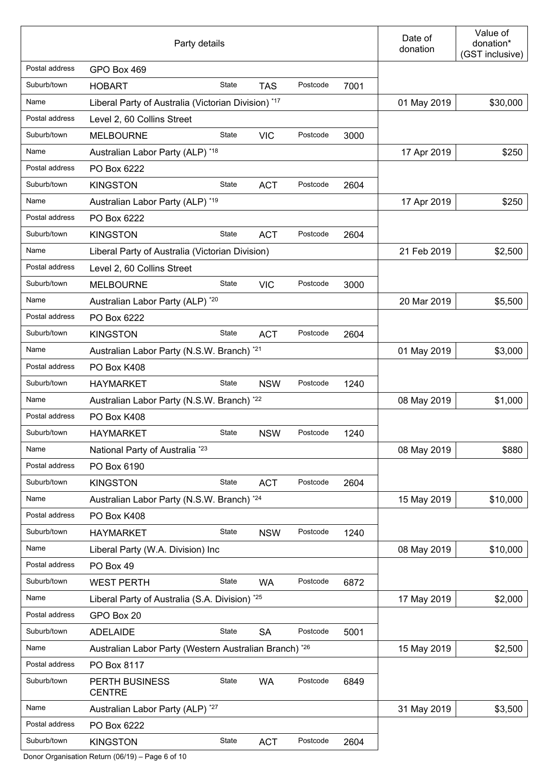|                | Party details                                          |              |            |          |      | Date of<br>donation | Value of<br>donation*<br>(GST inclusive) |
|----------------|--------------------------------------------------------|--------------|------------|----------|------|---------------------|------------------------------------------|
| Postal address | GPO Box 469                                            |              |            |          |      |                     |                                          |
| Suburb/town    | <b>HOBART</b>                                          | <b>State</b> | <b>TAS</b> | Postcode | 7001 |                     |                                          |
| Name           | Liberal Party of Australia (Victorian Division) *17    |              |            |          |      | 01 May 2019         | \$30,000                                 |
| Postal address | Level 2, 60 Collins Street                             |              |            |          |      |                     |                                          |
| Suburb/town    | <b>MELBOURNE</b>                                       | <b>State</b> | <b>VIC</b> | Postcode | 3000 |                     |                                          |
| Name           | Australian Labor Party (ALP) *18                       |              |            |          |      | 17 Apr 2019         | \$250                                    |
| Postal address | PO Box 6222                                            |              |            |          |      |                     |                                          |
| Suburb/town    | <b>KINGSTON</b>                                        | <b>State</b> | <b>ACT</b> | Postcode | 2604 |                     |                                          |
| Name           | Australian Labor Party (ALP) *19                       |              |            |          |      | 17 Apr 2019         | \$250                                    |
| Postal address | PO Box 6222                                            |              |            |          |      |                     |                                          |
| Suburb/town    | <b>KINGSTON</b>                                        | State        | <b>ACT</b> | Postcode | 2604 |                     |                                          |
| Name           | Liberal Party of Australia (Victorian Division)        |              |            |          |      | 21 Feb 2019         | \$2,500                                  |
| Postal address | Level 2, 60 Collins Street                             |              |            |          |      |                     |                                          |
| Suburb/town    | <b>MELBOURNE</b>                                       | State        | <b>VIC</b> | Postcode | 3000 |                     |                                          |
| Name           | Australian Labor Party (ALP) *20                       |              |            |          |      | 20 Mar 2019         | \$5,500                                  |
| Postal address | PO Box 6222                                            |              |            |          |      |                     |                                          |
| Suburb/town    | <b>KINGSTON</b>                                        | State        | <b>ACT</b> | Postcode | 2604 |                     |                                          |
| Name           | Australian Labor Party (N.S.W. Branch) *21             |              |            |          |      | 01 May 2019         | \$3,000                                  |
| Postal address | PO Box K408                                            |              |            |          |      |                     |                                          |
| Suburb/town    | <b>HAYMARKET</b>                                       | State        | <b>NSW</b> | Postcode | 1240 |                     |                                          |
| Name           | Australian Labor Party (N.S.W. Branch) *22             |              |            |          |      | 08 May 2019         | \$1,000                                  |
| Postal address | PO Box K408                                            |              |            |          |      |                     |                                          |
| Suburb/town    | <b>HAYMARKET</b>                                       | State        | <b>NSW</b> | Postcode | 1240 |                     |                                          |
| Name           | National Party of Australia *23                        |              |            |          |      | 08 May 2019         | \$880                                    |
| Postal address | PO Box 6190                                            |              |            |          |      |                     |                                          |
| Suburb/town    | <b>KINGSTON</b>                                        | State        | <b>ACT</b> | Postcode | 2604 |                     |                                          |
| Name           | Australian Labor Party (N.S.W. Branch) *24             |              |            |          |      | 15 May 2019         | \$10,000                                 |
| Postal address | PO Box K408                                            |              |            |          |      |                     |                                          |
| Suburb/town    | <b>HAYMARKET</b>                                       | State        | <b>NSW</b> | Postcode | 1240 |                     |                                          |
| Name           | Liberal Party (W.A. Division) Inc                      |              |            |          |      | 08 May 2019         | \$10,000                                 |
| Postal address | PO Box 49                                              |              |            |          |      |                     |                                          |
| Suburb/town    | <b>WEST PERTH</b>                                      | State        | <b>WA</b>  | Postcode | 6872 |                     |                                          |
| Name           | Liberal Party of Australia (S.A. Division) *25         |              |            |          |      | 17 May 2019         | \$2,000                                  |
| Postal address | GPO Box 20                                             |              |            |          |      |                     |                                          |
| Suburb/town    | <b>ADELAIDE</b>                                        | State        | <b>SA</b>  | Postcode | 5001 |                     |                                          |
| Name           | Australian Labor Party (Western Australian Branch) *26 |              |            |          |      | 15 May 2019         | \$2,500                                  |
| Postal address | PO Box 8117                                            |              |            |          |      |                     |                                          |
| Suburb/town    | PERTH BUSINESS<br><b>CENTRE</b>                        | State        | <b>WA</b>  | Postcode | 6849 |                     |                                          |
| Name           | Australian Labor Party (ALP) *27                       |              |            |          |      | 31 May 2019         | \$3,500                                  |
| Postal address | PO Box 6222                                            |              |            |          |      |                     |                                          |
| Suburb/town    | <b>KINGSTON</b>                                        | State        | <b>ACT</b> | Postcode | 2604 |                     |                                          |

Donor Organisation Return (06/19) – Page 6 of 10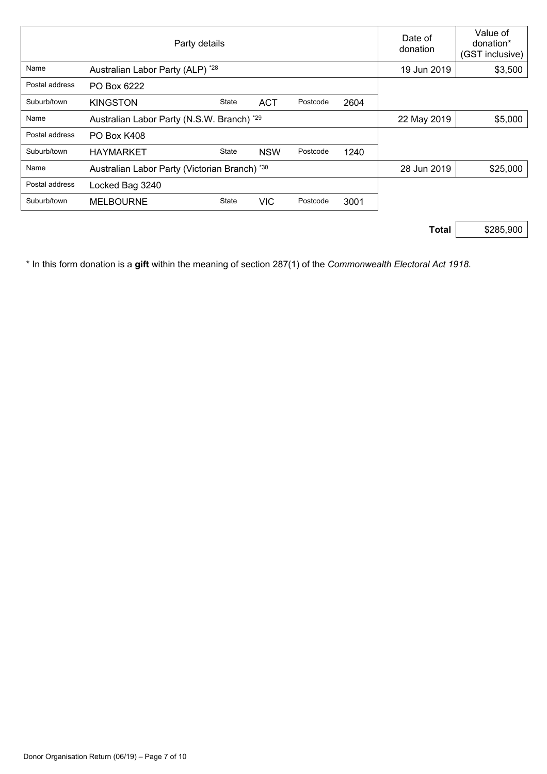|                | Party details                                 |       |            |          |      | Date of<br>donation | Value of<br>donation*<br>(GST inclusive) |
|----------------|-----------------------------------------------|-------|------------|----------|------|---------------------|------------------------------------------|
| Name           | Australian Labor Party (ALP) *28              |       |            |          |      | 19 Jun 2019         | \$3,500                                  |
| Postal address | PO Box 6222                                   |       |            |          |      |                     |                                          |
| Suburb/town    | <b>KINGSTON</b>                               | State | <b>ACT</b> | Postcode | 2604 |                     |                                          |
| Name           | Australian Labor Party (N.S.W. Branch) *29    |       |            |          |      | 22 May 2019         | \$5,000                                  |
| Postal address | PO Box K408                                   |       |            |          |      |                     |                                          |
| Suburb/town    | <b>HAYMARKET</b>                              | State | <b>NSW</b> | Postcode | 1240 |                     |                                          |
| Name           | Australian Labor Party (Victorian Branch) *30 |       |            |          |      | 28 Jun 2019         | \$25,000                                 |
| Postal address | Locked Bag 3240                               |       |            |          |      |                     |                                          |
| Suburb/town    | <b>MELBOURNE</b>                              | State | <b>VIC</b> | Postcode | 3001 |                     |                                          |
|                |                                               |       |            |          |      | Total               | \$285,900                                |

\* In this form donation is a **gift** within the meaning of section 287(1) of the *Commonwealth Electoral Act 1918*.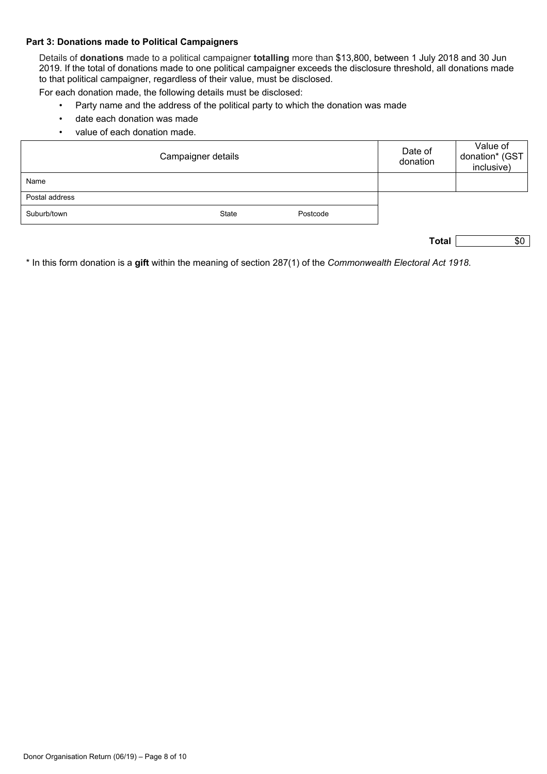#### **Part 3: Donations made to Political Campaigners**

Details of **donations** made to a political campaigner **totalling** more than \$13,800, between 1 July 2018 and 30 Jun 2019. If the total of donations made to one political campaigner exceeds the disclosure threshold, all donations made to that political campaigner, regardless of their value, must be disclosed.

For each donation made, the following details must be disclosed:

- Party name and the address of the political party to which the donation was made
- date each donation was made
- value of each donation made.

|                | Campaigner details |          | Date of<br>donation | Value of<br>donation* (GST<br>inclusive) |
|----------------|--------------------|----------|---------------------|------------------------------------------|
| Name           |                    |          |                     |                                          |
| Postal address |                    |          |                     |                                          |
| Suburb/town    | State              | Postcode |                     |                                          |

| w |  |  |
|---|--|--|
|---|--|--|

\* In this form donation is a **gift** within the meaning of section 287(1) of the *Commonwealth Electoral Act 1918*.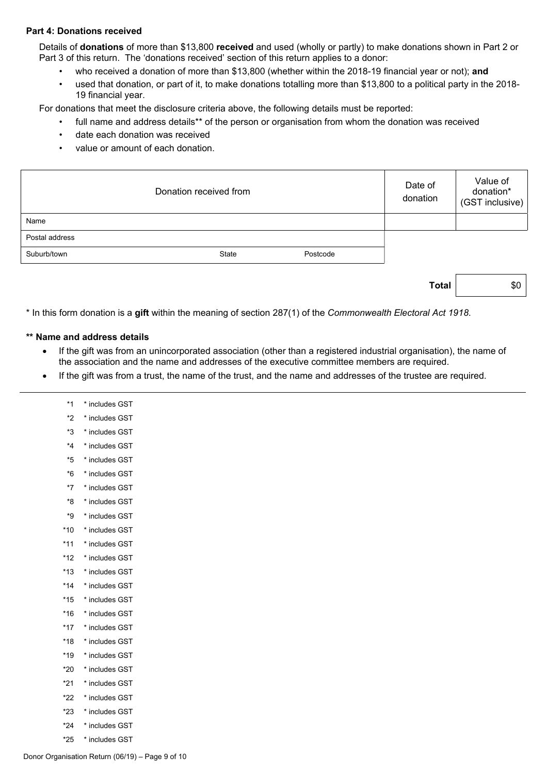#### **Part 4: Donations received**

Details of **donations** of more than \$13,800 **received** and used (wholly or partly) to make donations shown in Part 2 or Part 3 of this return. The 'donations received' section of this return applies to a donor:

- who received a donation of more than \$13,800 (whether within the 2018-19 financial year or not); **and**
- used that donation, or part of it, to make donations totalling more than \$13,800 to a political party in the 2018- 19 financial year.

For donations that meet the disclosure criteria above, the following details must be reported:

- full name and address details\*\* of the person or organisation from whom the donation was received
- date each donation was received
- value or amount of each donation.

| Donation received from |              |          | Date of<br>donation | Value of<br>donation*<br>(GST inclusive) |
|------------------------|--------------|----------|---------------------|------------------------------------------|
| Name                   |              |          |                     |                                          |
| Postal address         |              |          |                     |                                          |
| Suburb/town            | <b>State</b> | Postcode |                     |                                          |

| <b>Total</b> | $\overline{\phantom{a}}$<br>\$0 |
|--------------|---------------------------------|
|--------------|---------------------------------|

\* In this form donation is a **gift** within the meaning of section 287(1) of the *Commonwealth Electoral Act 1918*.

#### **\*\* Name and address details**

- If the gift was from an unincorporated association (other than a registered industrial organisation), the name of the association and the name and addresses of the executive committee members are required.
- If the gift was from a trust, the name of the trust, and the name and addresses of the trustee are required.
	- \*1 \* includes GST
	- \*2 \* includes GST
	- \*3 \* includes GST
	- \*4 \* includes GST
	- \*5 \* includes GST
	- \*6 \* includes GST
	- \*7 \* includes GST
	- \*8 \* includes GST
	- \*9 \* includes GST
	- \*10 \* includes GST
	- \*11 \* includes GST
	- \*12 \* includes GST
	- \*13 \* includes GST
	- \*14 \* includes GST
	- \*15 \* includes GST
	- \*16 \* includes GST
	- \*17 \* includes GST
	- \*18 \* includes GST
	- \*19 \* includes GST \*20 \* includes GST
	- \*21 \* includes GST
	- \*22 \* includes GST
	- \*23 \* includes GST
	- \*24 \* includes GST
	- \*25 \* includes GST